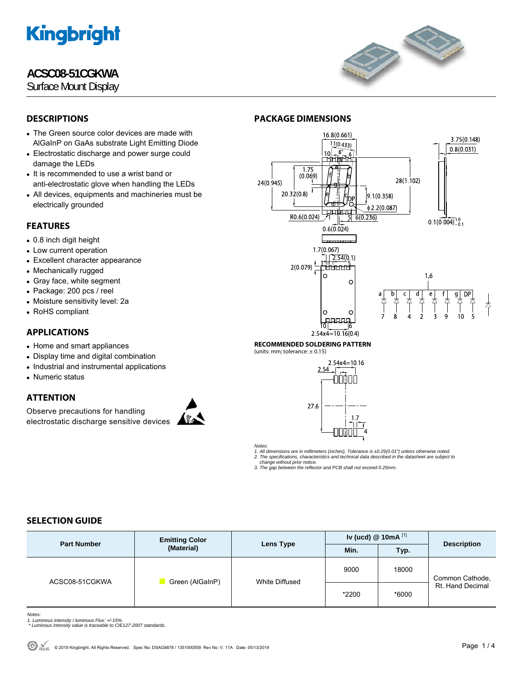## **ACSC08-51CGKWA**

Surface Mount Display



## **DESCRIPTIONS**

- The Green source color devices are made with AlGaInP on GaAs substrate Light Emitting Diode
- Electrostatic discharge and power surge could damage the LEDs
- It is recommended to use a wrist band or anti-electrostatic glove when handling the LEDs
- All devices, equipments and machineries must be electrically grounded

## **FEATURES**

- 0.8 inch digit height
- Low current operation
- Excellent character appearance
- Mechanically rugged
- Gray face, white segment
- Package: 200 pcs / reel
- Moisture sensitivity level: 2a
- RoHS compliant

## **APPLICATIONS**

- Home and smart appliances
- Display time and digital combination
- Industrial and instrumental applications
- Numeric status

## **ATTENTION**

Observe precautions for handling electrostatic discharge sensitive devices



#### 16.8(0.661) 3.75(0.148)  $1/1(0.433)$  $0.8(0.031)$ ⊪गो  $1.75$  $(0.069)$ 28(1.102) 24(0.945)  $20.32(0.8)$  $9.1(0.358)$  $\phi$  2.2(0.087) المسلسط R0.6(0.024)  $6(0.236)$  $0.1(0.004)^{+0}_{0.1}$  $0.6(0.024)$  $1.7(0.067)$ 1-2.54(0.1)<br>1-2.54(0.1)<br>|- $2(0.079)$  $16$  $\circ$  $\circ$  $\frac{1}{\alpha}$ d 本  $\circ$ C **AAAAA** īō

#### $2.54x4 = 10.16(0.4)$ **RECOMMENDED SOLDERING PATTERN**

(units: mm; tolerance:  $\pm$  0.15)

**PACKAGE DIMENSIONS** 



*Notes:* 

*1. All dimensions are in millimeters (inches), Tolerance is ±0.25(0.01") unless otherwise noted. 2. The specifications, characteristics and technical data described in the datasheet are subject to* 

 *change without prior notice. 3. The gap between the reflector and PCB shall not exceed 0.25mm.* 

## **SELECTION GUIDE**

| <b>Part Number</b> | <b>Emitting Color</b><br>(Material) | Lens Type      | Iv (ucd) $@$ 10mA $^{[1]}$ |       | <b>Description</b>                  |
|--------------------|-------------------------------------|----------------|----------------------------|-------|-------------------------------------|
|                    |                                     |                | Min.                       | Typ.  |                                     |
| ACSC08-51CGKWA     | Green (AlGaInP)                     | White Diffused | 9000                       | 18000 | Common Cathode,<br>Rt. Hand Decimal |
|                    |                                     |                | *2200                      | *6000 |                                     |

*Notes:* 

- 
- *1. Luminous intensity / luminous Flux: +/-15%. \* Luminous intensity value is traceable to CIE127-2007 standards.*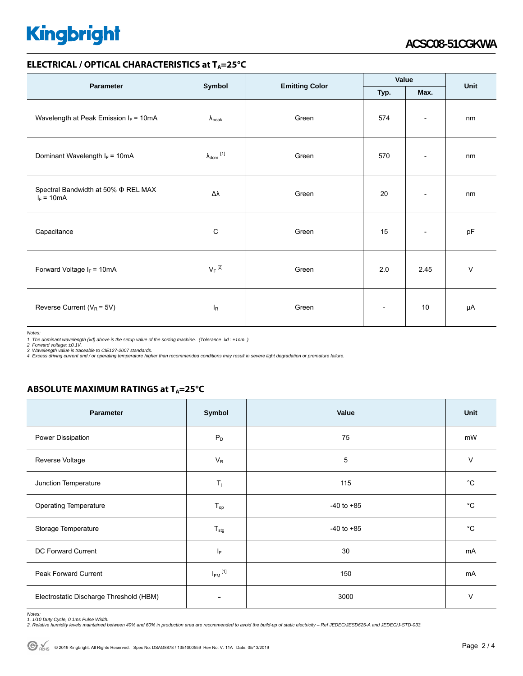### **ELECTRICAL / OPTICAL CHARACTERISTICS at T<sub>A</sub>=25°C**

| <b>Parameter</b>                                         |                            |                       | Value                    |                          | Unit   |
|----------------------------------------------------------|----------------------------|-----------------------|--------------------------|--------------------------|--------|
|                                                          | Symbol                     | <b>Emitting Color</b> | Max.<br>Typ.             |                          |        |
| Wavelength at Peak Emission $I_F = 10mA$                 | $\lambda_{\rm peak}$       | Green                 | 574                      | $\overline{\phantom{a}}$ | nm     |
| Dominant Wavelength $I_F = 10mA$                         | $\lambda_{\text{dom}}$ [1] | Green                 | 570                      | $\overline{\phantom{a}}$ | nm     |
| Spectral Bandwidth at 50% $\Phi$ REL MAX<br>$I_F = 10mA$ | Δλ                         | Green                 | 20                       | $\overline{\phantom{a}}$ | nm     |
| Capacitance                                              | C                          | Green                 | 15                       | $\overline{\phantom{a}}$ | pF     |
| Forward Voltage $I_F = 10mA$                             | $V_F$ <sup>[2]</sup>       | Green                 | 2.0                      | 2.45                     | $\vee$ |
| Reverse Current ( $V_R$ = 5V)                            | $I_R$                      | Green                 | $\overline{\phantom{a}}$ | 10                       | μA     |

*Notes:* 

1. The dominant wavelength (λd) above is the setup value of the sorting machine. (Tolerance λd : ±1nm. )<br>2. Forward voltage: ±0.1V.<br>3. Wavelength value is traceable to CIE127-2007 standards.<br>4. Excess driving current and

## **ABSOLUTE MAXIMUM RATINGS at T<sub>A</sub>=25°C**

| Parameter                               | Symbol                  | Value          | Unit        |
|-----------------------------------------|-------------------------|----------------|-------------|
| Power Dissipation                       | $P_D$                   | 75             | mW          |
| Reverse Voltage                         | $V_R$                   | 5              | $\vee$      |
| Junction Temperature                    | $T_i$                   | 115            | $^{\circ}C$ |
| <b>Operating Temperature</b>            | $T_{op}$                | $-40$ to $+85$ | $^{\circ}C$ |
| Storage Temperature                     | $T_{\text{stg}}$        | $-40$ to $+85$ | $^{\circ}C$ |
| DC Forward Current                      | ΙF                      | 30             | mA          |
| <b>Peak Forward Current</b>             | $I_{FM}$ <sup>[1]</sup> | 150            | mA          |
| Electrostatic Discharge Threshold (HBM) |                         | 3000           | V           |

Notes:<br>1. 1/10 Duty Cycle, 0.1ms Pulse Width.<br>2. Relative humidity levels maintained between 40% and 60% in production area are recommended to avoid the build-up of static electricity – Ref JEDEC/JESD625-A and JEDEC/J-STD-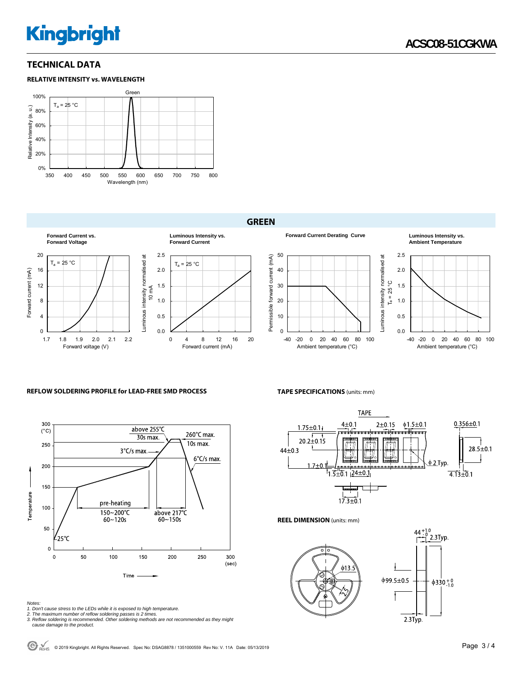## **TECHNICAL DATA**





### **GREEN**



### **REFLOW SOLDERING PROFILE for LEAD-FREE SMD PROCESS**



#### *Notes:*

- 
- 

1. Don't cause stress to the LEDs while it is exposed to high temperature.<br>2. The maximum number of reflow soldering passes is 2 times.<br>3. Reflow soldering is recommended. Other soldering methods are not recommended as the  *cause damage to the product.* 

**TAPE SPECIFICATIONS** (units: mm)

Ambient temperature (°C)



0.0 0.5 1.0 1.5 2.0 2.5

Luminous intensity normalised at  $T_a = 25^\circ C$ 

Luminous intensity normalised at  $T_a = 25^{\circ}$ C

**Forward Current Derating Curve Luminous Intensity vs.** 

-40 -20 0 20 40 60 80 100 Ambient temperature (°C)

**Ambient Temperature**

**REEL DIMENSION** (units: mm)



© <sub>ROHS</sub> © 2019 Kingbright. All Rights Reserved. Spec No: DSAG8878 / 1351000559 Rev No: V. 11A Date: 05/13/2019 **Page 3 / 4 Page 3 / 4**